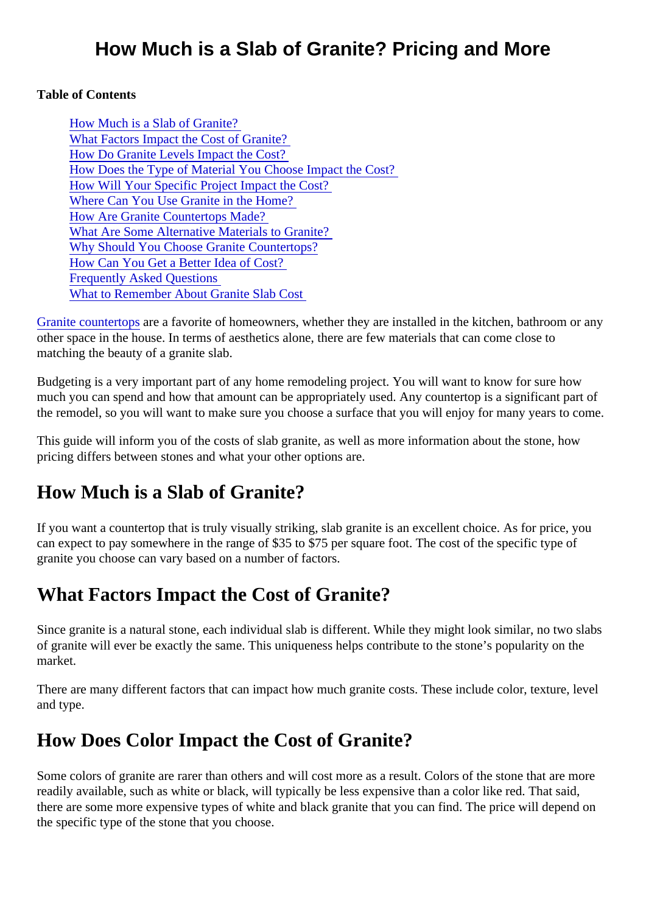#### Table of Contents

How Much is a Slab of Granite? What Factors Impact the Cost of Granite? [How Do Granite Levels Impact the Cos](#page-1-0)t? [How Does the Type of Material You Choose Impact the C](#page-1-0)ost? [How Will Your Specific Project Impact the Cos](#page-2-0)t? [Where Can You Use Granite in the Hom](#page-3-0)e? [How Are Granite Countertops Mad](#page-3-0)e? [What Are Some Alternative Materials to Grani](#page-3-0)te? [Why Should You Choose Granite Counterto](#page-5-0)ps? [How Can You Get a Better Idea of Co](#page-6-0)st? [Frequently Asked Question](#page-6-0)s [What to Remember About Granite Slab C](#page-7-0)ost

[Granite countertop](https://marble.com/granite-countertops)area favorite of homeowners, whether they are installed in the kitchen, bathroom or any other space in the house. In terms of aesthetics alone, there are few materials that can come close to matching the beauty of a granite slab.

Budgeting is a very important part of any home remodeling project. You will want to know for sure how much you can spend and how that amount can be appropriately used. Any countertop is a significant part the remodel, so you will want to make sure you choose a surface that you will enjoy for many years to con

This guide will inform you of the costs of slab granite, as well as more information about the stone, how pricing differs between stones and what your other options are.

## How Much is a Slab of Granite?

If you want a countertop that is truly visually striking, slab granite is an excellent choice. As for price, you can expect to pay somewhere in the range of \$35 to \$75 per square foot. The cost of the specific type of granite you choose can vary based on a number of factors.

## What Factors Impact the Cost of Granite?

Since granite is a natural stone, each individual slab is different. While they might look similar, no two slab of granite will ever be exactly the same. This uniqueness helps contribute to the stone's popularity on the market.

There are many different factors that can impact how much granite costs. These include color, texture, levelly and type.

## How Does Color Impact the Cost of Granite?

Some colors of granite are rarer than others and will cost more as a result. Colors of the stone that are more readily available, such as white or black, will typically be less expensive than a color like red. That said, there are some more expensive types of white and black granite that you can find. The price will depend on the specific type of the stone that you choose.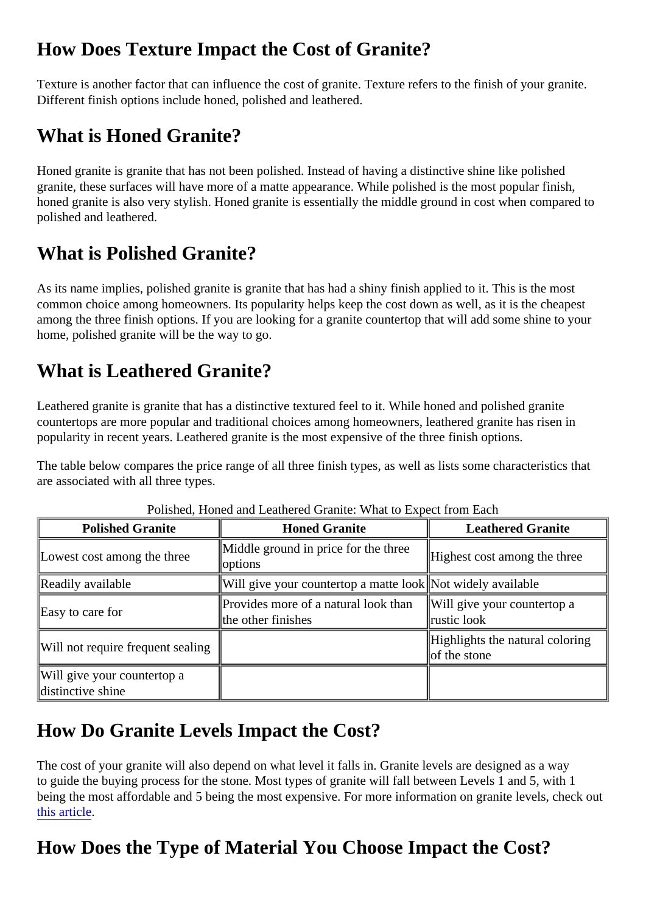## <span id="page-1-0"></span>How Does Texture Impact the Cost of Granite?

Texture is another factor that can influence the cost of granite. Texture refers to the finish of your granite. Different finish options include honed, polished and leathered.

## What is Honed Granite?

Honed granite is granite that has not been polished. Instead of having a distinctive shine like polished granite, these surfaces will have more of a matte appearance. While polished is the most popular finish, honed granite is also very stylish. Honed granite is essentially the middle ground in cost when compared to polished and leathered.

## What is Polished Granite?

As its name implies, polished granite is granite that has had a shiny finish applied to it. This is the most common choice among homeowners. Its popularity helps keep the cost down as well, as it is the cheapest among the three finish options. If you are looking for a granite countertop that will add some shine to your home, polished granite will be the way to go.

#### What is Leathered Granite?

Leathered granite is granite that has a distinctive textured feel to it. While honed and polished granite countertops are more popular and traditional choices among homeowners, leathered granite has risen in popularity in recent years. Leathered granite is the most expensive of the three finish options.

The table below compares the price range of all three finish types, as well as lists some characteristics that are associated with all three types.

| <b>Polished Granite</b>                          | <b>Honed Granite</b>                                                                   | <b>Leathered Granite</b>                         |  |  |
|--------------------------------------------------|----------------------------------------------------------------------------------------|--------------------------------------------------|--|--|
| Lowest cost among the three                      | Middle ground in price for the three Highest cost among the three<br><b>loptions</b>   |                                                  |  |  |
| Readily available                                | Will give your countertop a matte lombot widely available                              |                                                  |  |  |
| Easy to care for                                 | Provides more of a natural look than Will give your countertop a<br>the other finishes | ∥rustic look                                     |  |  |
| Will not require frequent sealing                |                                                                                        | Highlights the natural coloring<br>lof the stone |  |  |
| Will give your countertop a<br>distinctive shine |                                                                                        |                                                  |  |  |

#### Polished, Honed and Leathered Granite: What to Expect from Each

## How Do Granite Levels Impact the Cost?

The cost of your granite will also depend on what level it falls in. Granite levels are designed as a way to guide the buying process for the stone. Most types of granite will fall between Levels 1 and 5, with 1 being the most affordable and 5 being the most expensive. For more information on granite levels, check out [this article](https://marble.com/articles/granite-countertop-levels-for-easy-buying-process).

# How Does the Type of Material You Choose Impact the Cost?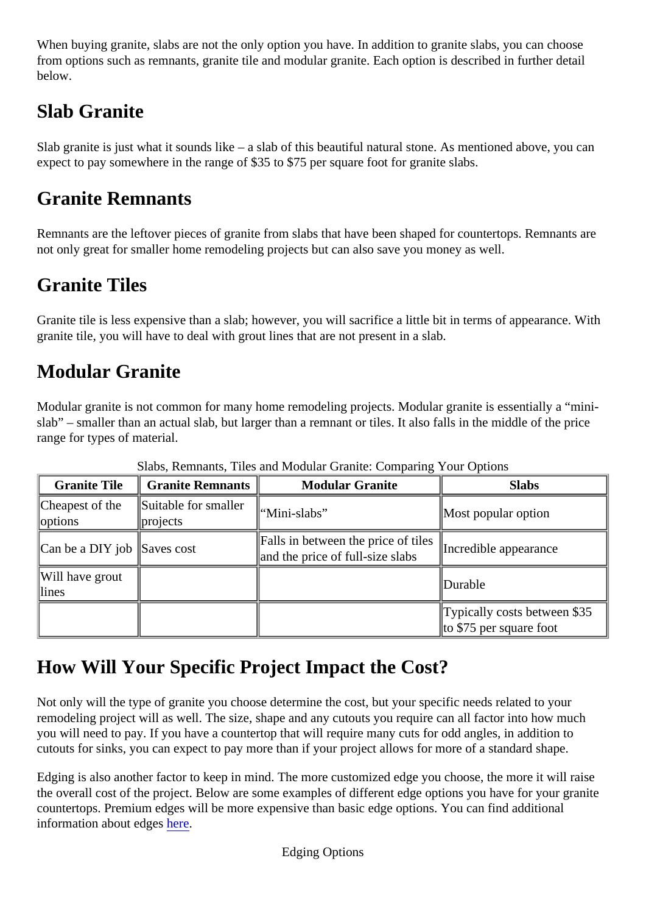<span id="page-2-0"></span>When buying granite, slabs are not the only option you have. In addition to granite slabs, you can choose from options such as remnants, granite tile and modular granite. Each option is described in further detail below.

# Slab Granite

Slab granite is just what it sounds like – a slab of this beautiful natural stone. As mentioned above, you can expect to pay somewhere in the range of \$35 to \$75 per square foot for granite slabs.

#### Granite Remnants

Remnants are the leftover pieces of granite from slabs that have been shaped for countertops. Remnants not only great for smaller home remodeling projects but can also save you money as well.

## Granite Tiles

Granite tile is less expensive than a slab; however, you will sacrifice a little bit in terms of appearance. With granite tile, you will have to deal with grout lines that are not present in a slab.

## Modular Granite

Modular granite is not common for many home remodeling projects. Modular granite is essentially a "minislab" – smaller than an actual slab, but larger than a remnant or tiles. It also falls in the middle of the price range for types of material.

| <b>Granite Tile</b>         | Granite Remnants                                                | <b>Modular Granite</b>                                                                           | <b>Slabs</b>                                            |
|-----------------------------|-----------------------------------------------------------------|--------------------------------------------------------------------------------------------------|---------------------------------------------------------|
| options                     | Cheapest of the Suitable for smaller   "Mini-slabs"<br>projects |                                                                                                  | Most popular option                                     |
| Can be a DIY job Saves cost |                                                                 | Falls in between the price of tiles<br>Incredible appearance<br>and the price of full-size slabs |                                                         |
| Will have grout<br>llines   |                                                                 |                                                                                                  | <b>IDurable</b>                                         |
|                             |                                                                 |                                                                                                  | Typically costs between \$35<br>to \$75 per square foot |

Slabs, Remnants, Tiles and Modular Granite: Comparing Your Options

## How Will Your Specific Project Impact the Cost?

Not only will the type of granite you choose determine the cost, but your specific needs related to your remodeling project will as well. The size, shape and any cutouts you require can all factor into how much you will need to pay. If you have a countertop that will require many cuts for odd angles, in addition to cutouts for sinks, you can expect to pay more than if your project allows for more of a standard shape.

Edging is also another factor to keep in mind. The more customized edge you choose, the more it will raise the overall cost of the project. Below are some examples of different edge options you have for your granited countertops. Premium edges will be more expensive than basic edge options. You can find additional information about edgesere.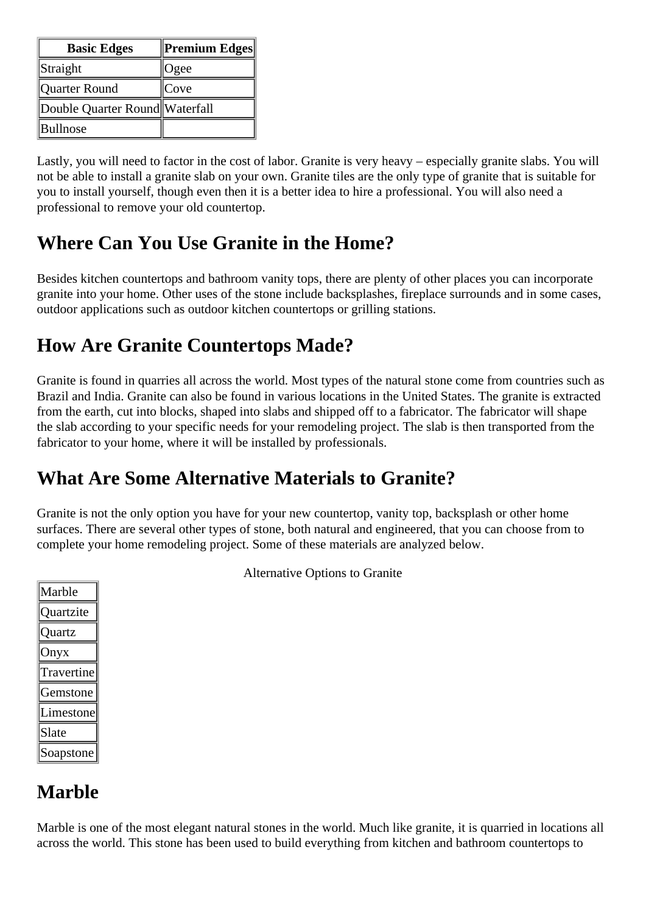<span id="page-3-0"></span>

| <b>Basic Edges</b>             | Premium Edges |
|--------------------------------|---------------|
| Straight                       | Ogee          |
| Quarter Round                  | Cove          |
| Double Quarter Round Waterfall |               |
| Bullnose                       |               |

Lastly, you will need to factor in the cost of labor. Granite is very heavy – especially granite slabs. You will not be able to install a granite slab on your own. Granite tiles are the only type of granite that is suitable for you to install yourself, though even then it is a better idea to hire a professional. You will also need a professional to remove your old countertop.

#### **Where Can You Use Granite in the Home?**

Besides kitchen countertops and bathroom vanity tops, there are plenty of other places you can incorporate granite into your home. Other uses of the stone include backsplashes, fireplace surrounds and in some cases, outdoor applications such as outdoor kitchen countertops or grilling stations.

## **How Are Granite Countertops Made?**

Granite is found in quarries all across the world. Most types of the natural stone come from countries such as Brazil and India. Granite can also be found in various locations in the United States. The granite is extracted from the earth, cut into blocks, shaped into slabs and shipped off to a fabricator. The fabricator will shape the slab according to your specific needs for your remodeling project. The slab is then transported from the fabricator to your home, where it will be installed by professionals.

## **What Are Some Alternative Materials to Granite?**

Granite is not the only option you have for your new countertop, vanity top, backsplash or other home surfaces. There are several other types of stone, both natural and engineered, that you can choose from to complete your home remodeling project. Some of these materials are analyzed below.

| Marble     |
|------------|
| Ouartzite  |
| Ouartz     |
| Onyx       |
| Travertine |
| Gemstone   |
| Limestone  |
| Slate      |
| Soapstone  |

Alternative Options to Granite

## **Marble**

Marble is one of the most elegant natural stones in the world. Much like granite, it is quarried in locations all across the world. This stone has been used to build everything from kitchen and bathroom countertops to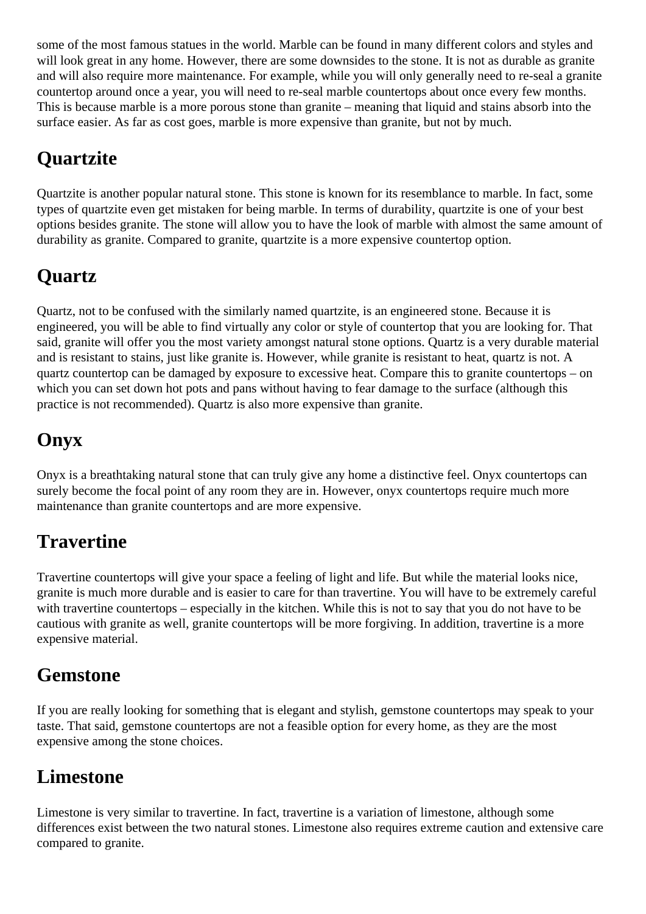some of the most famous statues in the world. Marble can be found in many different colors and styles and will look great in any home. However, there are some downsides to the stone. It is not as durable as granite and will also require more maintenance. For example, while you will only generally need to re-seal a granite countertop around once a year, you will need to re-seal marble countertops about once every few months. This is because marble is a more porous stone than granite – meaning that liquid and stains absorb into the surface easier. As far as cost goes, marble is more expensive than granite, but not by much.

# **Quartzite**

Quartzite is another popular natural stone. This stone is known for its resemblance to marble. In fact, some types of quartzite even get mistaken for being marble. In terms of durability, quartzite is one of your best options besides granite. The stone will allow you to have the look of marble with almost the same amount of durability as granite. Compared to granite, quartzite is a more expensive countertop option.

# **Quartz**

Quartz, not to be confused with the similarly named quartzite, is an engineered stone. Because it is engineered, you will be able to find virtually any color or style of countertop that you are looking for. That said, granite will offer you the most variety amongst natural stone options. Quartz is a very durable material and is resistant to stains, just like granite is. However, while granite is resistant to heat, quartz is not. A quartz countertop can be damaged by exposure to excessive heat. Compare this to granite countertops – on which you can set down hot pots and pans without having to fear damage to the surface (although this practice is not recommended). Quartz is also more expensive than granite.

# **Onyx**

Onyx is a breathtaking natural stone that can truly give any home a distinctive feel. Onyx countertops can surely become the focal point of any room they are in. However, onyx countertops require much more maintenance than granite countertops and are more expensive.

# **Travertine**

Travertine countertops will give your space a feeling of light and life. But while the material looks nice, granite is much more durable and is easier to care for than travertine. You will have to be extremely careful with travertine countertops – especially in the kitchen. While this is not to say that you do not have to be cautious with granite as well, granite countertops will be more forgiving. In addition, travertine is a more expensive material.

#### **Gemstone**

If you are really looking for something that is elegant and stylish, gemstone countertops may speak to your taste. That said, gemstone countertops are not a feasible option for every home, as they are the most expensive among the stone choices.

#### **Limestone**

Limestone is very similar to travertine. In fact, travertine is a variation of limestone, although some differences exist between the two natural stones. Limestone also requires extreme caution and extensive care compared to granite.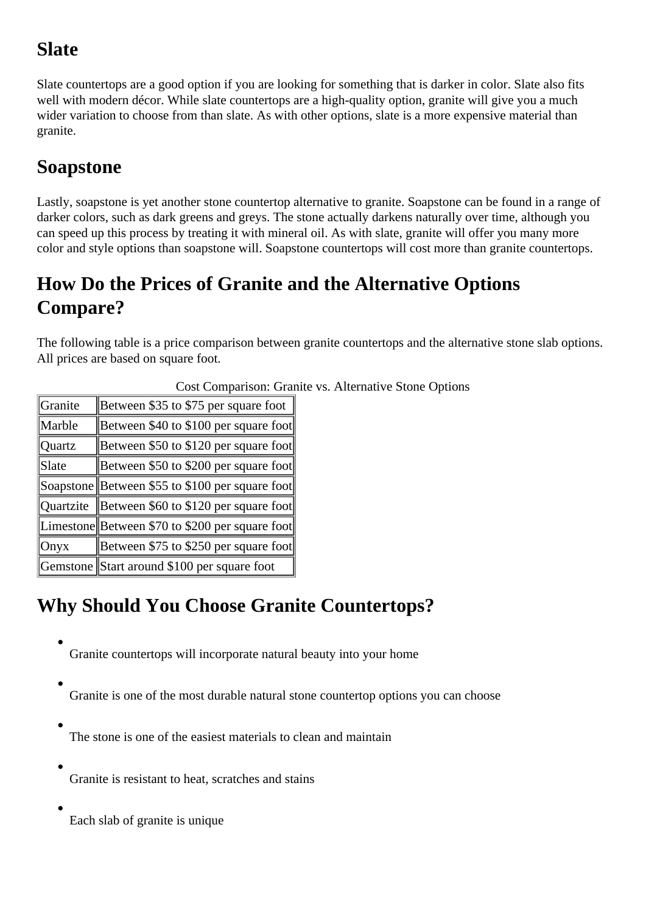# <span id="page-5-0"></span>**Slate**

Slate countertops are a good option if you are looking for something that is darker in color. Slate also fits well with modern décor. While slate countertops are a high-quality option, granite will give you a much wider variation to choose from than slate. As with other options, slate is a more expensive material than granite.

# **Soapstone**

Lastly, soapstone is yet another stone countertop alternative to granite. Soapstone can be found in a range of darker colors, such as dark greens and greys. The stone actually darkens naturally over time, although you can speed up this process by treating it with mineral oil. As with slate, granite will offer you many more color and style options than soapstone will. Soapstone countertops will cost more than granite countertops.

# **How Do the Prices of Granite and the Alternative Options Compare?**

The following table is a price comparison between granite countertops and the alternative stone slab options. All prices are based on square foot.

| Granite          | Between \$35 to \$75 per square foot            |
|------------------|-------------------------------------------------|
| Marble           | Between \$40 to \$100 per square foot           |
| Quartz           | Between \$50 to \$120 per square foot           |
| Slate            | Between \$50 to \$200 per square foot           |
|                  | Soapstone Between \$55 to \$100 per square foot |
| <b>Ouartzite</b> | Between \$60 to \$120 per square foot           |
|                  | Limestone Between \$70 to \$200 per square foot |
| Onyx             | Between \$75 to \$250 per square foot           |
|                  | Gemstone Start around \$100 per square foot     |

Cost Comparison: Granite vs. Alternative Stone Options

# **Why Should You Choose Granite Countertops?**

Granite countertops will incorporate natural beauty into your home

- Granite is one of the most durable natural stone countertop options you can choose
- The stone is one of the easiest materials to clean and maintain
- Granite is resistant to heat, scratches and stains
- 

Each slab of granite is unique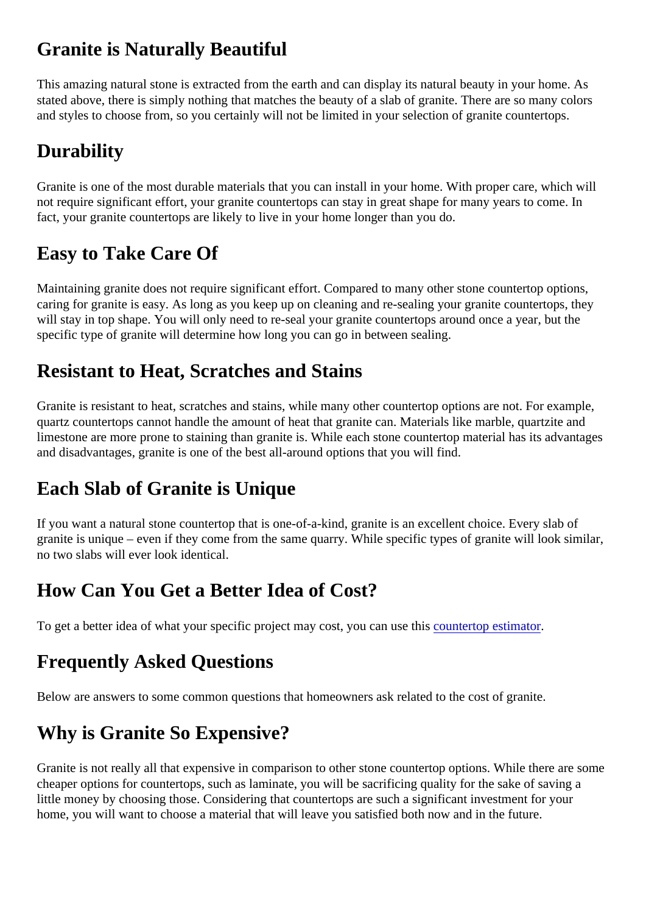## <span id="page-6-0"></span>Granite is Naturally Beautiful

This amazing natural stone is extracted from the earth and can display its natural beauty in your home. As stated above, there is simply nothing that matches the beauty of a slab of granite. There are so many color and styles to choose from, so you certainly will not be limited in your selection of granite countertops.

## **Durability**

Granite is one of the most durable materials that you can install in your home. With proper care, which will not require significant effort, your granite countertops can stay in great shape for many years to come. In fact, your granite countertops are likely to live in your home longer than you do.

# Easy to Take Care Of

Maintaining granite does not require significant effort. Compared to many other stone countertop options, caring for granite is easy. As long as you keep up on cleaning and re-sealing your granite countertops, the will stay in top shape. You will only need to re-seal your granite countertops around once a year, but the specific type of granite will determine how long you can go in between sealing.

#### Resistant to Heat, Scratches and Stains

Granite is resistant to heat, scratches and stains, while many other countertop options are not. For examp quartz countertops cannot handle the amount of heat that granite can. Materials like marble, quartzite and limestone are more prone to staining than granite is. While each stone countertop material has its advantages and disadvantages, granite is one of the best all-around options that you will find.

## Each Slab of Granite is Unique

If you want a natural stone countertop that is one-of-a-kind, granite is an excellent choice. Every slab of granite is unique – even if they come from the same quarry. While specific types of granite will look similar no two slabs will ever look identical.

## How Can You Get a Better Idea of Cost?

To get a better idea of what your specific project may cost, you can useuthis rtop estimator

## Frequently Asked Questions

Below are answers to some common questions that homeowners ask related to the cost of granite.

# Why is Granite So Expensive?

Granite is not really all that expensive in comparison to other stone countertop options. While there are so cheaper options for countertops, such as laminate, you will be sacrificing quality for the sake of saving a little money by choosing those. Considering that countertops are such a significant investment for your home, you will want to choose a material that will leave you satisfied both now and in the future.